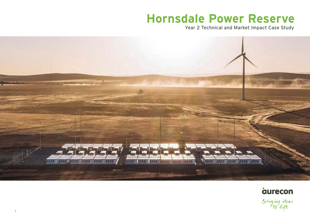# **Hornsdale Power Reserve**

Year 2 Technical and Market Impact Case Study





Sringing ideas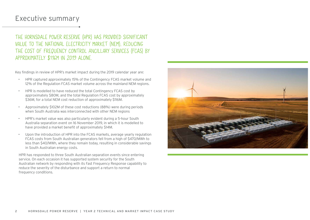#### Executive summary

E HORNSDALE POWER RESERVE (HPR) HAS PROVIDED SIGNIFICANT LUE TO THE NATIONAL ELECTRICITY MARKET (NEM), REDUCING E COST OF FREQUENCY CONTROL ANCILLARY SERVICES (FCAS) BY PROXIMATELY \$116M IN 2019 ALONE.

findings in review of HPR's market impact during the 2019 calendar year are:

• HPR captured approximately 15% of the Contingency FCAS market volume and 12% of the Regulation FCAS market volume across the mainland NEM regions.

• HPR is modelled to have reduced the total Contingency FCAS cost by approximately \$80M, and the total Regulation FCAS cost by approximately \$36M, for a total NEM cost reduction of approximately \$116M.

• Approximately \$102M of these cost reductions (88%) were during periods when South Australia was interconnected with other NEM regions

• HPR's market value was also particularly evident during a 5-hour South Australia separation event on 16 November 2019, in which it is modelled to have provided a market benefit of approximately \$14M.

Upon the introduction of HPR into the FCAS markets, average yearly regulation FCAS costs from South Australian generators fell from a high of \$470/MWh to less than \$40/MWh, where they remain today, resulting in considerable savings in South Australian energy costs.

HPR has responded to three South Australian separation events since entering ervice. On each occasion it has supported system security for the South Australian network by responding with its Fast Frequency Response capability to educe the severity of the disturbance and support a return to normal requency conditions.

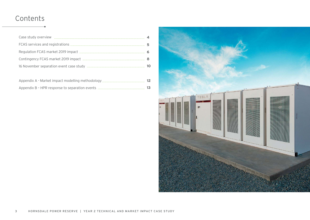# Contents

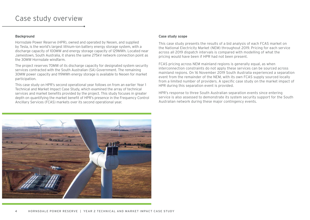#### Case study overview

#### **Background**

Hornsdale Power Reserve (HPR), owned and operated by Neoen, and supplied by Tesla, is the world's largest lithium-ion battery energy storage system, with a discharge capacity of 100MW and energy storage capacity of 129MWh. Located near Jamestown, South Australia, it shares the same 275kV network connection point as the 30MW Hornsdale windfarm.

The project reserves 70MW of its discharge capacity for designated system security services contracted with the South Australian (SA) Government. The remaining 30MW power capacity and 119MWh energy storage is available to Neoen for market participation.

This case study on HPR's second operational year follows on from an earlier Year 1 Technical and Market Impact Case Study, which examined the array of technical services and market benefits provided by the project. This study focuses in greater depth on quantifying the market benefit of HPR's presence in the Frequency Control Ancillary Services (FCAS) markets over its second operational year.

#### **Case study scope**

This case study presents the results of a bid analysis of each FCAS market on the National Electricity Market (NEM) throughout 2019. Pricing for each service across all 2019 dispatch intervals is compared with modelling of what the pricing would have been if HPR had not been present.

FCAS pricing across NEM mainland regions is generally equal, as when interconnection constraints do not apply these services can be sourced across mainland regions. On 16 November 2019 South Australia experienced a separation event from the remainder of the NEM, with its own FCAS supply sourced locally from a limited number of providers. A specific case study on the market impact of HPR during this separation event is provided.

HPR's response to three South Australian separation events since entering service is also assessed to demonstrate its system security support for the South Australian network during these major contingency events.

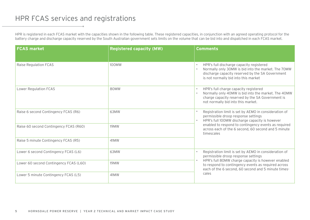# HPR FCAS services and registrations

HPR is registered in each FCAS market with the capacities shown in the following table. These registered capacities, in conjunction with an agreed operating protocol for the battery charge and discharge capacity reserved by the South Australian government sets limits on the volume that can be bid into and dispatched in each FCAS market.

| <b>FCAS market</b>                     | <b>Registered capacity (MW)</b> | <b>Comments</b>                                                                                                                                                                             |
|----------------------------------------|---------------------------------|---------------------------------------------------------------------------------------------------------------------------------------------------------------------------------------------|
| Raise Regulation FCAS                  | 100MW                           | HPR's full discharge capacity registered<br>Normally only 30MW is bid into the market. The 70MW<br>discharge capacity reserved by the SA Government<br>is not normally bid into this market |
| <b>Lower Regulation FCAS</b>           | 80MW                            | HPR's full charge capacity registered<br>Normally only 40MW is bid into the market. The 40MW<br>charge capacity reserved by the SA Government is<br>not normally bid into this market.      |
| Raise 6 second Contingency FCAS (R6)   | 63MW                            | Registration limit is set by AEMO in consideration of<br>permissible droop response settings<br>HPR's full 100MW discharge capacity is however                                              |
| Raise 60 second Contingency FCAS (R60) | <b>19MW</b>                     | enabled to respond to contingency events as required<br>across each of the 6 second, 60 second and 5 minute<br>timescales                                                                   |
| Raise 5 minute Contingency FCAS (R5)   | 41MW                            |                                                                                                                                                                                             |
| Lower 6 second Contingency FCAS (L6)   | 63MW                            | Registration limit is set by AEMO in consideration of<br>permissible droop response settings                                                                                                |
| Lower 60 second Contingency FCAS (L60) | <b>19MW</b>                     | HPR's full 80MW charge capacity is however enabled<br>to respond to contingency events as required across<br>each of the 6 second, 60 second and 5 minute times-                            |
| Lower 5 minute Contingency FCAS (L5)   | 41MW                            | cales                                                                                                                                                                                       |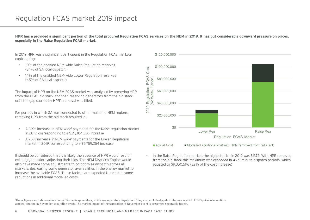# Regulation FCAS market 2019 impact

**HPR has a provided a significant portion of the total procured Regulation FCAS services on the NEM in 2019. It has put considerable downward pressure on prices, especially in the Raise Regulation FCAS market.** 

In 2019 HPR was a significant participant in the Regulation FCAS markets, contributing:

- 10% of the enabled NEM-wide Raise Regulation reserves (34% of SA local dispatch)
- 14% of the enabled NEM-wide Lower Regulation reserves (45% of SA local dispatch)

The impact of HPR on the NEM FCAS market was analysed by removing HPR from the FCAS bid stack and then reserving generators from the bid stack until the gap caused by HPR's removal was filled.

For periods in which SA was connected to other mainland NEM regions, removing HPR from the bid stack resulted in:

- A 39% increase in NEM-wide<sup>1</sup> payments for the Raise regulation market in 2019, corresponding to a \$29,384,230 increase
- A 25% increase in NEM-wide<sup>1</sup> payments for the Lower Regulation market in 2019, corresponding to a \$5,759,254 increase

It should be considered that it is likely the absence of HPR would result in existing generators adjusting their bids. The NEM Dispatch Engine would also have made some adjustments to co-optimise dispatch across all markets, decreasing some generator availabilities in the energy market to increase the available FCAS. These factors are expected to result in some reductions in additional modelled costs.



 $\blacksquare$  Actual Cost  $\blacksquare$  Modelled additional cost with HPR removed from bid stack

• In the Raise Regulation market, the highest price in 2019 was \$1372. With HPR removed from the bid stack this maximum was exceeded in 49 5-minute dispatch periods, which equated to \$9,350,596 (32% of the cost increase)

<sup>1</sup>These figures exclude consideration of Tasmania generators, which are separately dispatched. They also exclude dispatch intervals in which AEMO price interventions applied, and the 16 November separation event. The market impact of the separation 16 November event is presented separately herein.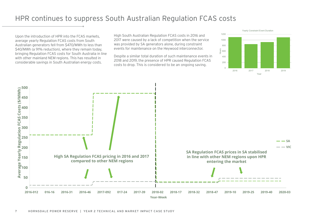#### HPR continues to suppress South Australian Regulation FCAS costs

Upon the introduction of HPR into the FCAS markets, average yearly Regulation FCAS costs from South Australian generators fell from \$470/MWh to less than \$40/MWh (a 91% reduction), where they remain today, bringing Regulation FCAS costs for South Australia in line with other mainland NEM regions. This has resulted in considerable savings in South Australian energy costs.

High South Australian Regulation FCAS costs in 2016 and 2017 were caused by a lack of competition when the service was provided by SA generators alone, during constraint events for maintenance on the Heywood interconnector.

Despite a similar total duration of such maintenance events in 2018 and 2019, the presence of HPR caused Regulation FCAS costs to drop. This is considered to be an ongoing saving.



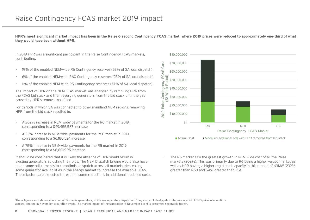# Raise Contingency FCAS market 2019 impact

**HPR's most significant market impact has been in the Raise 6 second Contingency FCAS market, where 2019 prices were reduced to approximately one-third of what they would have been without HPR.** 

In 2019 HPR was a significant participant in the Raise Contingency FCAS markets, contributing:

- 19% of the enabled NEM-wide R6 Contingency reserves (53% of SA local dispatch)
- 6% of the enabled NEM-wide R60 Contingency reserves (23% of SA local dispatch)
- 11% of the enabled NEM-wide R5 Contingency reserves (57% of SA local dispatch)

The impact of HPR on the NEM FCAS market was analysed by removing HPR from the FCAS bid stack and then reserving generators from the bid stack until the gap caused by HPR's removal was filled.

For periods in which SA was connected to other mainland NEM regions, removing HPR from the bid stack resulted in:

- A 202% increase in NEM-wide<sup>1</sup> payments for the R6 market in 2019, corresponding to a \$49,455,587 increase
- A 33% increase in NEM-wide<sup>1</sup> payments for the R60 market in 2019, corresponding to a \$6,180,524 increase
- A 75% increase in NEM-wide<sup>1</sup> payments for the R5 market in 2019, corresponding to a \$6,601,995 increase

It should be considered that it is likely the absence of HPR would result in existing generators adjusting their bids. The NEM Dispatch Engine would also have made some adjustments to co-optimise dispatch across all markets, decreasing some generator availabilities in the energy market to increase the available FCAS. These factors are expected to result in some reductions in additional modelled costs.



 $\blacksquare$  Actual Cost  $\blacksquare$  Modelled additional cost with HPR removed from bid stack

• The R6 market saw the greatest growth in NEM-wide cost of all the Raise markets (202%). This was primarily due to R6 being a higher valued market as well as HPR having a higher registered capacity in this market of 63MW (232% greater than R60 and 54% greater than R5).

<sup>1</sup>These figures exclude consideration of Tasmania generators, which are separately dispatched. They also exclude dispatch intervals in which AEMO price interventions applied, and the 16 November separation event. The market impact of the separation 16 November event is presented separately herein.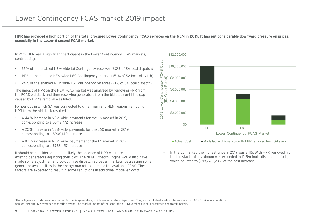#### Lower Contingency FCAS market 2019 impact

**HPR has provided a high portion of the total procured Lower Contingency FCAS services on the NEM in 2019. It has put considerable downward pressure on prices, especially in the Lower 6 second FCAS market.** 

In 2019 HPR was a significant participant in the Lower Contingency FCAS markets, contributing:

- 35% of the enabled NEM-wide L6 Contingency reserves (60% of SA local dispatch)
- 14% of the enabled NEM-wide L60 Contingency reserves (51% of SA local dispatch)
- 24% of the enabled NEM-wide L5 Contingency reserves (91% of SA local dispatch)

The impact of HPR on the NEM FCAS market was analysed by removing HPR from the FCAS bid stack and then reserving generators from the bid stack until the gap caused by HPR's removal was filled.

For periods in which SA was connected to other mainland NEM regions, removing HPR from the bid stack resulted in:

- A 44% increase in NEM-wide<sup>1</sup> payments for the L6 market in 2019, corresponding to a \$3,112,772 increase
- A 20% increase in NEM-wide<sup>1</sup> payments for the L60 market in 2019, corresponding to a \$900,140 increase
- A 101% increase in NEM-wide1 payments for the L5 market in 2019, corresponding to a \$778,457 increase

It should be considered that it is likely the absence of HPR would result in existing generators adjusting their bids. The NEM Dispatch Engine would also have made some adjustments to co-optimise dispatch across all markets, decreasing some generator availabilities in the energy market to increase the available FCAS. These factors are expected to result in some reductions in additional modelled costs.



• In the L5 market, the highest price in 2019 was \$1115. With HPR removed from the bid stack this maximum was exceeded in 12 5-minute dispatch periods, which equated to \$218,778 (28% of the cost increase)

<sup>1</sup>These figures exclude consideration of Tasmania generators, which are separately dispatched. They also exclude dispatch intervals in which AEMO price interventions applied, and the 16 November separation event. The market impact of the separation 16 November event is presented separately herein.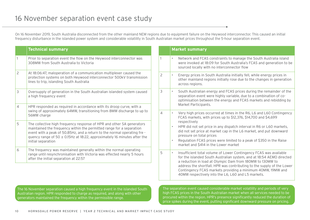On 16 November 2019, South Australia disconnected from the other mainland NEM regions due to equipment failure on the Heywood interconnector. This caused an initial frequency disturbance in the islanded power system and considerable volatility in South Australian market prices throughout the 5-hour separation event.

|                                                                                                                                                                  | <b>Technical summary</b>                                                                                                                                                                                                                                                                                                        |                | <b>Market summary</b>                                                                                                                                                                                                                                                                                                                                                                                 |  |  |  |
|------------------------------------------------------------------------------------------------------------------------------------------------------------------|---------------------------------------------------------------------------------------------------------------------------------------------------------------------------------------------------------------------------------------------------------------------------------------------------------------------------------|----------------|-------------------------------------------------------------------------------------------------------------------------------------------------------------------------------------------------------------------------------------------------------------------------------------------------------------------------------------------------------------------------------------------------------|--|--|--|
|                                                                                                                                                                  | Prior to separation event the flow on the Heywood interconnector was<br>308MW from South Australia to Victoria                                                                                                                                                                                                                  |                | Network and FCAS constraints to manage the South Australia island<br>were invoked at 18:09 for South Australia's FCAS and generation to be<br>sourced locally with no interconnector flow                                                                                                                                                                                                             |  |  |  |
| $\overline{2}$                                                                                                                                                   | At 18:06:47, maloperation of a communication multiplexer caused the<br>protection systems on both Heywood interconnector 500kV transmission<br>lines to trip, islanding South Australia                                                                                                                                         | $\overline{c}$ | Energy prices in South Australia initially fell, while energy prices in<br>other mainland regions initially rose due to the changes in generation<br>across regions.                                                                                                                                                                                                                                  |  |  |  |
| 3                                                                                                                                                                | Oversupply of generation in the South Australian islanded system caused<br>a high frequency event                                                                                                                                                                                                                               | 3              | South Australian energy and FCAS prices during the remainder of the<br>separation event were highly variable, due to a combination of co-<br>optimisation between the energy and FCAS markets and rebidding by<br>Market Participants.                                                                                                                                                                |  |  |  |
| HPR responded as required in accordance with its droop curve, with a<br>$\overline{4}$<br>swing of approximately 64MW, transitioning from 8MW discharge to up to |                                                                                                                                                                                                                                                                                                                                 |                |                                                                                                                                                                                                                                                                                                                                                                                                       |  |  |  |
|                                                                                                                                                                  | 56MW charge                                                                                                                                                                                                                                                                                                                     | $\overline{4}$ | Very high prices occurred at times in the R6, L6 and L60 Contingency<br>$\bullet$<br>FCAS markets, with prices up to \$12,376, \$14,700 and \$4,699                                                                                                                                                                                                                                                   |  |  |  |
| 5                                                                                                                                                                | The collective high frequency response of HPR and other SA generators<br>maintained the frequency within the permitted range for a separation<br>event with a peak of 50.85Hz, and a return to the normal operating fre -<br>quency range of 50 $\pm$ 0.15Hz at 18:22, approximately 16 minutes after the<br>initial separation |                | respectively<br>HPR did not set price in any dispatch interval in R6 or L60 markets,<br>did not set price at market cap in the L6 market, and put downward<br>pressure on total prices<br>Regulation FCAS prices were limited to a peak of \$350 in the Raise<br>market and \$414 in the Lower market                                                                                                 |  |  |  |
| 6                                                                                                                                                                | The frequency was maintained generally within the normal operating<br>range until resynchronisation with Victoria was effected nearly 5 hours<br>after the initial separation at 22:57                                                                                                                                          | 5              | Insufficient total volume of Lower Contingency FCAS was available<br>for the islanded South Australian system, and at 18:54 AEMO directed<br>a reduction in load at Olympic Dam from 180MW to 130MW to<br>address the shortfall. HPR was contributing to the supply of the Lower<br>Contingency FCAS markets providing a minimum 40MW, 19MW and<br>40MW respectively into the L6, L60 and L5 markets. |  |  |  |
|                                                                                                                                                                  |                                                                                                                                                                                                                                                                                                                                 |                |                                                                                                                                                                                                                                                                                                                                                                                                       |  |  |  |
|                                                                                                                                                                  | The 16 November separation caused a high frequency event in the islanded South<br>Australian region. HPR responded to charge as required, and along with other<br>generators maintained the frequency within the permissible range.                                                                                             |                | The separation event caused considerable market volatility and periods of very<br>high FCAS prices in the South Australian market when all services needed to be<br>procured within the region. HPR's presence significantly reduced the duration of                                                                                                                                                  |  |  |  |

price spikes during the event, putting significant downward pressure on pricing.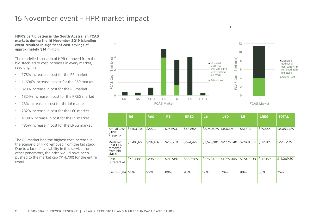# 16 November event – HPR market impact

**HPR's participation in the South Australian FCAS markets during the 16 November 2019 islanding event resulted in significant cost savings of approximately \$14 million.** 

The modelled scenario of HPR removed from the bid stack led to cost increases in every market, resulting in a:

- **178% increase in cost for the R6 market**
- $\cdot$  11694% increase in cost for the R60 market
- $\cdot$  829% increase in cost for the R5 market
- $\cdot$  1324% increase in cost for the RREG market
- $\cdot$  23% increase in cost for the L6 market
- \* 232% increase in cost for the L60 market
- **•** 4738% increase in cost for the L5 market
- ï 485% increase in cost for the LREG market

The R6 market had the highest cost increase in the scenario of HPR removed from the bid stack. Due to a lack of availability in this service from other generators, the price would have been pushed to the market cap (\$14,700) for the entire event.



|                                                       | R <sub>6</sub> | <b>R60</b> | <b>R5</b> | <b>RREG</b> | L6          | <b>L60</b>  | L5          | <b>LREG</b> | <b>TOTAL</b> |
|-------------------------------------------------------|----------------|------------|-----------|-------------|-------------|-------------|-------------|-------------|--------------|
| <b>Actual Cost</b><br>(HPR)<br>Present)               | \$4,103,240    | \$2,524    | \$25,693  | \$43,852    | \$2,950,069 | \$837,194   | \$61,373    | \$29,545    | \$8,053,489  |
| Modelled<br>Cost HPR<br>removed<br>from bid<br>stack) | \$11,418,127   | \$297,632  | \$238,674 | \$624,422   | \$3,625,910 | \$2,776,240 | \$2,969,081 | \$172,705   | \$22,122,791 |
| Cost<br><b>Differential</b>                           | \$7,314,887    | \$295,108  | \$212,980 | \$580,569   | \$675,840   | \$1,939,046 | \$2,907,708 | \$143,159   | \$14,069,301 |
| Savings (%)                                           | 64%            | 99%        | 89%       | 93%         | 19%         | 70%         | 98%         | 83%         | 75%          |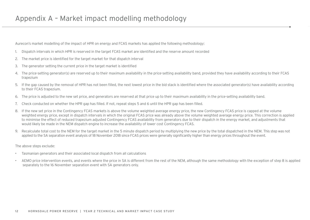Aurecon's market modelling of the impact of HPR on energy and FCAS markets has applied the following methodology:

- 1. Dispatch intervals in which HPR is reserved in the target FCAS market are identified and the reserve amount recorded
- 2. The market price is identified for the target market for that dispatch interval
- 3. The generator setting the current price in the target market is identified
- 4. The price-setting generator(s) are reserved up to their maximum availability in the price-setting availability band, provided they have availability according to their FCAS trapezium
- 5. If the gap caused by the removal of HPR has not been filled, the next lowest price in the bid stack is identified where the associated generator(s) have availability according to their FCAS trapezium.
- 6. The price is adjusted to the new set price, and generators are reserved at that price up to their maximum availability in the price-setting availability band.
- 7. Check conducted on whether the HPR gap has filled. If not, repeat steps 5 and 6 until the HPR gap has been filled.
- 8. If the new set price in the Contingency FCAS markets is above the volume weighted average energy price, the new Contingency FCAS price is capped at the volume weighted energy price, except in dispatch intervals in which the original FCAS price was already above the volume weighted average energy price. This correction is applied to minimise the effect of reduced trapezium adjusted Contingency FCAS availability from generators due to their dispatch in the energy market, and adjustments that would likely be made in the NEM dispatch engine to increase the availability of lower cost Contingency FCAS.
- 9. Recalculate total cost to the NEM for the target market in the 5 minute dispatch period by multiplying the new price by the total dispatched in the NEM. This step was not applied to the SA separation event analysis of 18 November 2018 since FCAS prices were generally significantly higher than energy prices throughout the event.

The above steps exclude:

- Tasmanian generators and their associated local dispatch from all calculations
- AEMO price intervention events, and events where the price in SA is different from the rest of the NEM, although the same methodology with the exception of step 8 is applied separately to the 16 November separation event with SA generators only.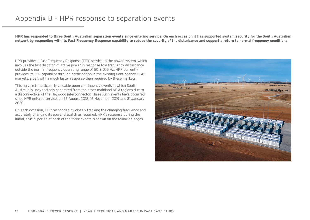#### Appendix B – HPR response to separation events

**HPR has responded to three South Australian separation events since entering service. On each occasion it has supported system security for the South Australian network by responding with its Fast Frequency Response capability to reduce the severity of the disturbance and support a return to normal frequency conditions.**

HPR provides a Fast Frequency Response (FFR) service to the power system, which involves the fast dispatch of active power in response to a frequency disturbance outside the normal frequency operating range of  $50 \pm 0.15$  Hz. HPR currently provides its FFR capability through participation in the existing Contingency FCAS markets, albeit with a much faster response than required by these markets.

This service is particularly valuable upon contingency events in which South Australia is unexpectedly separated from the other mainland NEM regions due to a disconnection of the Heywood interconnector. Three such events have occurred since HPR entered service; on 25 August 2018, 16 November 2019 and 31 January 2020.

On each occasion, HPR responded by closely tracking the changing frequency and accurately changing its power dispatch as required. HPR's response during the initial, crucial period of each of the three events is shown on the following pages.

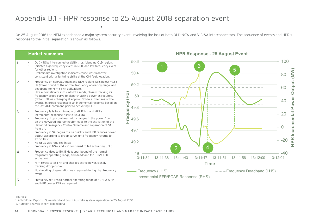# Appendix B.1 – HPR response to 25 August 2018 separation event

On 25 August 2018 the NEM experienced a major system security event, involving the loss of both QLD-NSW and VIC-SA interconnectors. The sequence of events and HPR's response to the initial separation is shown as follows.

#### **Market summary**

| $\mathbf{1}$ | QLD - NSW interconnector (QNI) trips, islanding QLD region.<br>$\bullet$<br>Initiates high frequency event in QLD, and low frequency event<br>$\bullet$<br>for other regions.<br>Preliminary investigation indicates cause was flashover<br>۰<br>consistent with a lightning strike at the QNI fault location.                                                                                                                                                                                                                                                                   |
|--------------|----------------------------------------------------------------------------------------------------------------------------------------------------------------------------------------------------------------------------------------------------------------------------------------------------------------------------------------------------------------------------------------------------------------------------------------------------------------------------------------------------------------------------------------------------------------------------------|
| 2            | Frequency on non-QLD mainland NEM regions falls below 49.85<br>$\bullet$<br>Hz (lower bound of the normal frequency operating range, and<br>deadband for HPR's FFR activation).<br>HPR automatically shifts into FFR mode, closely tracking its<br>frequency droop curve to dispatch active power as required.<br>(Note: HPR was charging at approx. 37 MW at the time of the<br>event). Its droop response is an incremental response based on<br>the last AGC command prior to activating FFR.                                                                                 |
| 3            | Frequency falls to a minimum of 49.12 Hz, and HPR's<br>$\bullet$<br>incremental response rises to 84.3 MW<br>Frequency drop, combined with changes in the power flow<br>$\bullet$<br>on the Heywood interconnector leads to the activation of the<br>Heywood Emergency Control Scheme and separation of SA<br>from VIC<br>Frequency in SA begins to rise guickly and HPR reduces power<br>output according to droop curve, until frequency returns to<br>49.85 Hzw<br>No UFLS was required in SA<br>$\bullet$<br>Frequency in NSW and VIC continued to fall activating UFLS<br>۰ |
| 4            | Frequency rises to 50.15 Hz (upper bound of the normal<br>$\bullet$<br>frequency operating range, and deadband for HPR's FFR<br>activation).<br>HPR re-activates FFR and charges active power, closely<br>٠<br>tracking droop curve<br>No shedding of generation was required during high frequency<br>event                                                                                                                                                                                                                                                                     |
| 5            | Frequency returns to normal operating range of $50 \div 0.15$ Hz<br>$\bullet$<br>and HPR ceases FFR as required                                                                                                                                                                                                                                                                                                                                                                                                                                                                  |
|              |                                                                                                                                                                                                                                                                                                                                                                                                                                                                                                                                                                                  |

#### **HPR Response - 25 August Event**



#### Sources:

1. AEMO Final Report – Queensland and South Australia system separation on 25 August 2018 2. Aurecon analysis of HPR logged data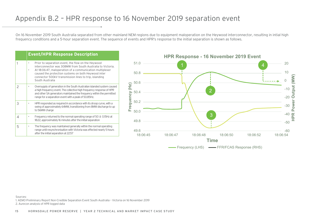#### Appendix B.2 – HPR response to 16 November 2019 separation event

On 16 November 2019 South Australia separated from other mainland NEM regions due to equipment maloperation on the Heywood interconnector, resulting in intial high frequency conditions and a 5-hour separation event. The sequence of events and HPR's response to the initial separation is shown as follows.

|   | <b>Event/HPR Response Description</b>                                                                                                                                                                                                                                                                           |
|---|-----------------------------------------------------------------------------------------------------------------------------------------------------------------------------------------------------------------------------------------------------------------------------------------------------------------|
| 1 | Prior to separation event, the flow on the Heywood<br>interconnector was 308MW from South Australia to Victoria.<br>At 18:06:47, maloperation of a communication multiplexer<br>caused the protection systems on both Heywood inter<br>connector 500kV transmission lines to trip, islanding<br>South Australia |
| 2 | Oversupply of generation in the South Australian islanded system caused<br>a high frequency event. The collective high frequency response of HPR<br>and other SA generators maintained the frequency within the permitted<br>range for a separation event with a peak of 50.85Hz.                               |
| 3 | HPR responded as required in accordance with its droop curve, with a<br>swing of approximately 64MW, transitioning from 8MW discharge to up<br>to 56MW charge                                                                                                                                                   |
| 4 | Frequency returned to the normal operating range of $50 \pm 0.15$ Hz at<br>18:22, approximately 16 minutes after the initial separation                                                                                                                                                                         |
| 5 | The frequency was maintained generally within the normal operating<br>range until resynchronisation with Victoria was effected nearly 5 hours<br>after the initial separation at 22:57                                                                                                                          |



15 HORNSDALE POWER RESERVE | YEAR 2 TECHNICAL AND MARKET IMPACT CASE STUDY

#### Sources:

1. AEMO Preliminary Report Non-Credible Separation Event South Australia – Victoria on 16 November 2019 2. Aurecon analysis of HPR logged data